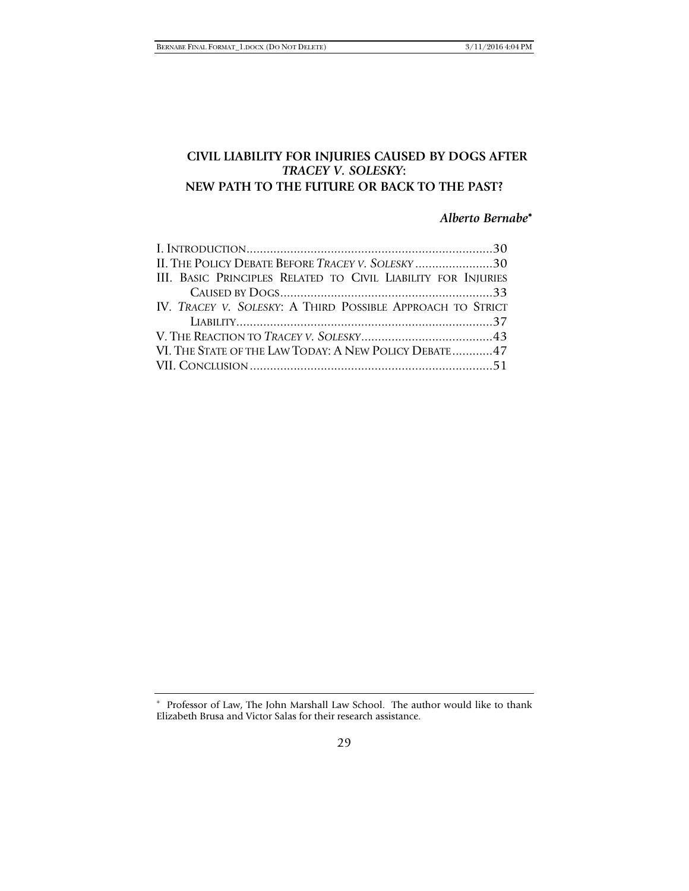# **CIVIL LIABILITY FOR INJURIES CAUSED BY DOGS AFTER**  *TRACEY V. SOLESKY***: NEW PATH TO THE FUTURE OR BACK TO THE PAST?**

# *Alberto Bernabe*<sup>∗</sup>

| II. THE POLICY DEBATE BEFORE TRACEY V. SOLESKY 30             |  |
|---------------------------------------------------------------|--|
| III. BASIC PRINCIPLES RELATED TO CIVIL LIABILITY FOR INJURIES |  |
|                                                               |  |
| IV. TRACEY V. SOLESKY: A THIRD POSSIBLE APPROACH TO STRICT    |  |
|                                                               |  |
|                                                               |  |
| VI. THE STATE OF THE LAW TODAY: A NEW POLICY DEBATE 47        |  |
|                                                               |  |

<sup>∗</sup> Professor of Law, The John Marshall Law School. The author would like to thank Elizabeth Brusa and Victor Salas for their research assistance.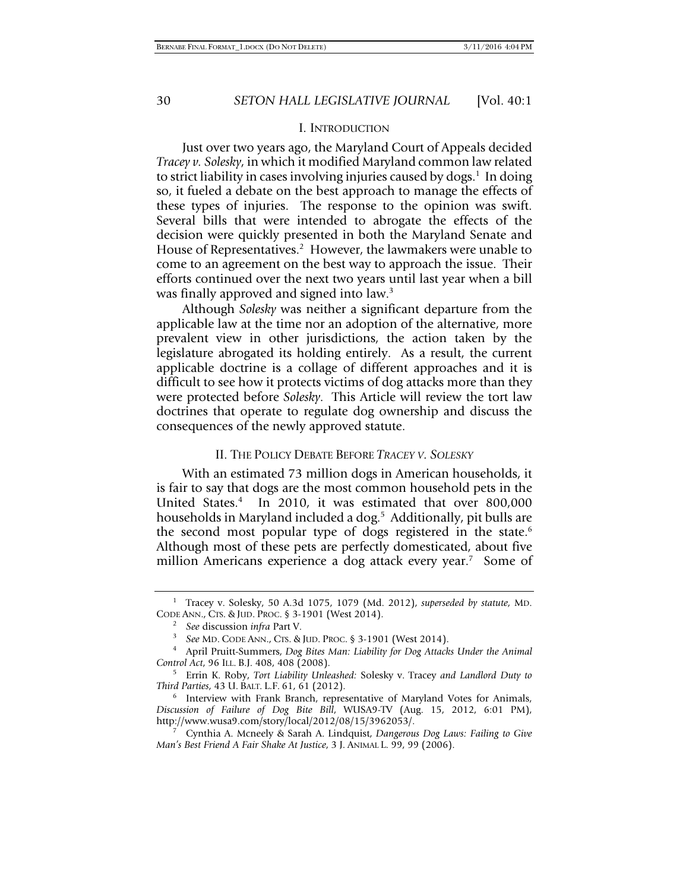#### I. INTRODUCTION

Just over two years ago, the Maryland Court of Appeals decided *Tracey v. Solesky*, in which it modified Maryland common law related to strict liability in cases involving injuries caused by dogs.<sup>1</sup> In doing so, it fueled a debate on the best approach to manage the effects of these types of injuries. The response to the opinion was swift. Several bills that were intended to abrogate the effects of the decision were quickly presented in both the Maryland Senate and House of Representatives.<sup>2</sup> However, the lawmakers were unable to come to an agreement on the best way to approach the issue. Their efforts continued over the next two years until last year when a bill was finally approved and signed into law.<sup>3</sup>

Although *Solesky* was neither a significant departure from the applicable law at the time nor an adoption of the alternative, more prevalent view in other jurisdictions, the action taken by the legislature abrogated its holding entirely. As a result, the current applicable doctrine is a collage of different approaches and it is difficult to see how it protects victims of dog attacks more than they were protected before *Solesky*. This Article will review the tort law doctrines that operate to regulate dog ownership and discuss the consequences of the newly approved statute.

#### II. THE POLICY DEBATE BEFORE *TRACEY V. SOLESKY*

With an estimated 73 million dogs in American households, it is fair to say that dogs are the most common household pets in the United States.4 In 2010, it was estimated that over 800,000 households in Maryland included a dog.<sup>5</sup> Additionally, pit bulls are the second most popular type of dogs registered in the state. $6$ Although most of these pets are perfectly domesticated, about five million Americans experience a dog attack every year.<sup>7</sup> Some of

<sup>1</sup> Tracey v. Solesky, 50 A.3d 1075, 1079 (Md. 2012), *superseded by statute*, MD. CODE ANN., CTS. & JUD. PROC. § 3-1901 (West 2014). 2

<sup>&</sup>lt;sup>2</sup> See discussion *infra* Part V.

*See* MD. CODE ANN., CTS. & JUD. PROC. § 3-1901 (West 2014). 4

April Pruitt-Summers, *Dog Bites Man: Liability for Dog Attacks Under the Animal Control Act*, 96 ILL. B.J. 408, 408 (2008).

Errin K. Roby, *Tort Liability Unleashed:* Solesky v. Tracey *and Landlord Duty to Third Parties*, 43 U. BALT. L.F. 61, 61 (2012).

 $6$  Interview with Frank Branch, representative of Maryland Votes for Animals, *Discussion of Failure of Dog Bite Bill*, WUSA9-TV (Aug. 15, 2012, 6:01 PM), http://www.wusa9.com/story/local/2012/08/15/3962053/. 7

Cynthia A. Mcneely & Sarah A. Lindquist, *Dangerous Dog Laws: Failing to Give Man's Best Friend A Fair Shake At Justice*, 3 J. ANIMAL L. 99, 99 (2006).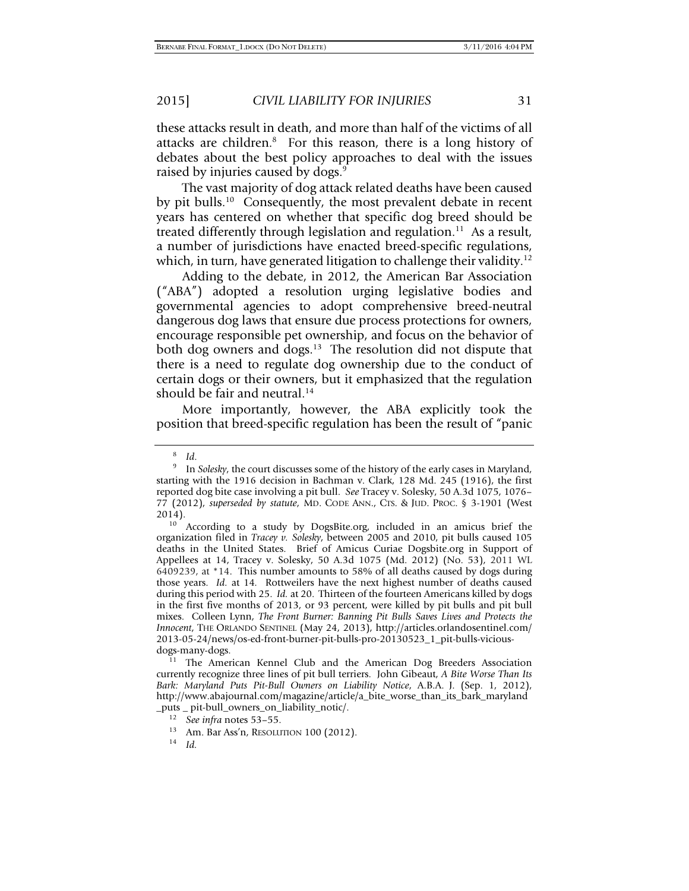these attacks result in death, and more than half of the victims of all attacks are children.<sup>8</sup> For this reason, there is a long history of debates about the best policy approaches to deal with the issues raised by injuries caused by dogs.<sup>9</sup>

The vast majority of dog attack related deaths have been caused by pit bulls.<sup>10</sup> Consequently, the most prevalent debate in recent years has centered on whether that specific dog breed should be treated differently through legislation and regulation. $11$  As a result, a number of jurisdictions have enacted breed-specific regulations, which, in turn, have generated litigation to challenge their validity.<sup>12</sup>

Adding to the debate, in 2012, the American Bar Association ("ABA") adopted a resolution urging legislative bodies and governmental agencies to adopt comprehensive breed-neutral dangerous dog laws that ensure due process protections for owners, encourage responsible pet ownership, and focus on the behavior of both dog owners and dogs.<sup>13</sup> The resolution did not dispute that there is a need to regulate dog ownership due to the conduct of certain dogs or their owners, but it emphasized that the regulation should be fair and neutral.<sup>14</sup>

More importantly, however, the ABA explicitly took the position that breed-specific regulation has been the result of "panic

currently recognize three lines of pit bull terriers. John Gibeaut, *A Bite Worse Than Its Bark: Maryland Puts Pit-Bull Owners on Liability Notice*, A.B.A. J. (Sep. 1, 2012), http://www.abajournal.com/magazine/article/a\_bite\_worse\_than\_its\_bark\_maryland

<sup>8</sup>

<sup>&</sup>lt;sup>8</sup> Id.<br><sup>9</sup> In *Solesky*, the court discusses some of the history of the early cases in Maryland, starting with the 1916 decision in Bachman v. Clark, 128 Md. 245 (1916), the first reported dog bite case involving a pit bull. *See* Tracey v. Solesky, 50 A.3d 1075, 1076– 77 (2012), *superseded by statute*, MD. CODE ANN., CTS. & JUD. PROC. § 3-1901 (West

<sup>2014).&</sup>lt;br><sup>10</sup> According to a study by DogsBite.org, included in an amicus brief the organization filed in *Tracey v. Solesky*, between 2005 and 2010, pit bulls caused 105 deaths in the United States. Brief of Amicus Curiae Dogsbite.org in Support of Appellees at 14, Tracey v. Solesky, 50 A.3d 1075 (Md. 2012) (No. 53), 2011 WL 6409239, at \*14. This number amounts to 58% of all deaths caused by dogs during those years. *Id.* at 14*.* Rottweilers have the next highest number of deaths caused during this period with 25. *Id.* at 20. Thirteen of the fourteen Americans killed by dogs in the first five months of 2013, or 93 percent, were killed by pit bulls and pit bull mixes. Colleen Lynn, *The Front Burner: Banning Pit Bulls Saves Lives and Protects the Innocent*, THE ORLANDO SENTINEL (May 24, 2013), http://articles.orlandosentinel.com/ 2013-05-24/news/os-ed-front-burner-pit-bulls-pro-20130523\_1\_pit-bulls-viciousdogs-many-dogs.<br><sup>11</sup> The American Kennel Club and the American Dog Breeders Association

<sup>&</sup>lt;sup>12</sup> See *infra* notes 53–55.<br><sup>13</sup> Am. Bar Ass'n, RESOLUTION 100 (2012). <sup>14</sup> *Id*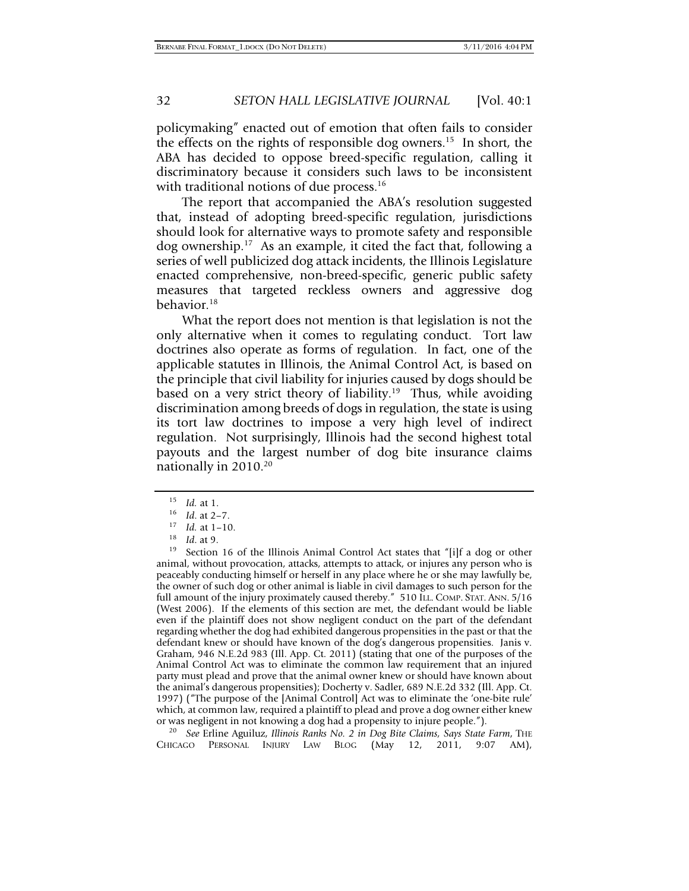policymaking" enacted out of emotion that often fails to consider the effects on the rights of responsible dog owners.<sup>15</sup> In short, the ABA has decided to oppose breed-specific regulation, calling it discriminatory because it considers such laws to be inconsistent with traditional notions of due process.<sup>16</sup>

The report that accompanied the ABA's resolution suggested that, instead of adopting breed-specific regulation, jurisdictions should look for alternative ways to promote safety and responsible dog ownership.17 As an example, it cited the fact that, following a series of well publicized dog attack incidents, the Illinois Legislature enacted comprehensive, non-breed-specific, generic public safety measures that targeted reckless owners and aggressive dog behavior.<sup>18</sup>

What the report does not mention is that legislation is not the only alternative when it comes to regulating conduct. Tort law doctrines also operate as forms of regulation. In fact, one of the applicable statutes in Illinois, the Animal Control Act, is based on the principle that civil liability for injuries caused by dogs should be based on a very strict theory of liability.<sup>19</sup> Thus, while avoiding discrimination among breeds of dogs in regulation, the state is using its tort law doctrines to impose a very high level of indirect regulation. Not surprisingly, Illinois had the second highest total payouts and the largest number of dog bite insurance claims nationally in 2010.20

CHICAGO PERSONAL INJURY LAW BLOG (May 12, 2011, 9:07 AM),

<sup>15</sup> *Id.* at 1.<br>
<sup>16</sup> *Id.* at 2–7.<br>
<sup>17</sup> *Id.* at 1–10.<br>
<sup>18</sup> *Id.* at 9.<br>
<sup>19</sup> Section 16 of the Illinois Animal Control Act states that "[i]f a dog or other animal, without provocation, attacks, attempts to attack, or injures any person who is peaceably conducting himself or herself in any place where he or she may lawfully be, the owner of such dog or other animal is liable in civil damages to such person for the full amount of the injury proximately caused thereby." 510 ILL. COMP. STAT. ANN. 5/16 (West 2006). If the elements of this section are met, the defendant would be liable even if the plaintiff does not show negligent conduct on the part of the defendant regarding whether the dog had exhibited dangerous propensities in the past or that the defendant knew or should have known of the dog's dangerous propensities. Janis v. Graham, 946 N.E.2d 983 (Ill. App. Ct. 2011) (stating that one of the purposes of the Animal Control Act was to eliminate the common law requirement that an injured party must plead and prove that the animal owner knew or should have known about the animal's dangerous propensities); Docherty v. Sadler, 689 N.E.2d 332 (Ill. App. Ct. 1997) ("The purpose of the [Animal Control] Act was to eliminate the 'one-bite rule' which, at common law, required a plaintiff to plead and prove a dog owner either knew or was negligent in not knowing a dog had a propensity to injure people."). 20 *See* Erline Aguiluz, *Illinois Ranks No. 2 in Dog Bite Claims, Says State Farm*, THE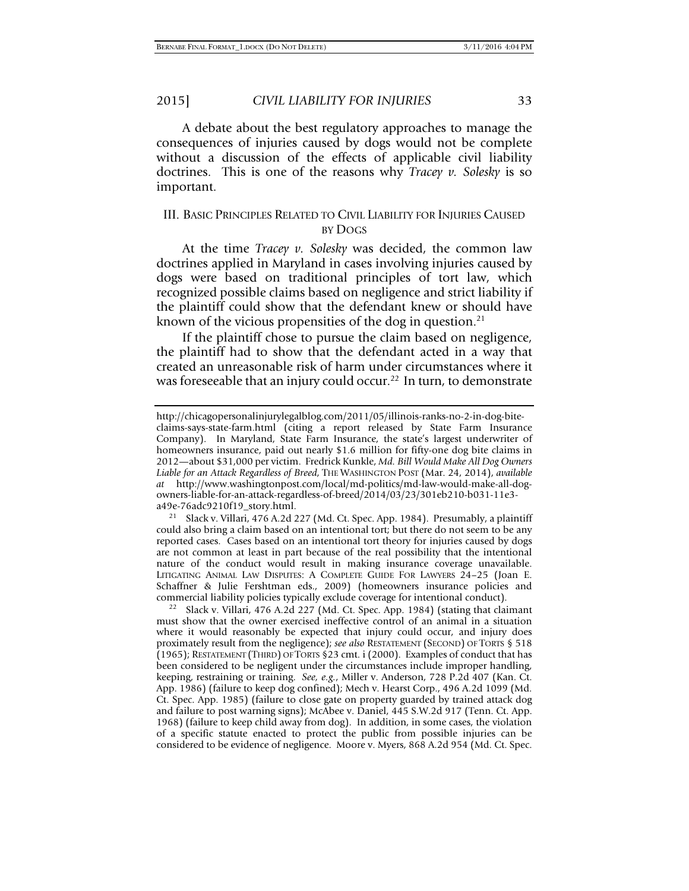A debate about the best regulatory approaches to manage the consequences of injuries caused by dogs would not be complete without a discussion of the effects of applicable civil liability doctrines. This is one of the reasons why *Tracey v. Solesky* is so important.

# III. BASIC PRINCIPLES RELATED TO CIVIL LIABILITY FOR INJURIES CAUSED BY DOGS

At the time *Tracey v. Solesky* was decided, the common law doctrines applied in Maryland in cases involving injuries caused by dogs were based on traditional principles of tort law, which recognized possible claims based on negligence and strict liability if the plaintiff could show that the defendant knew or should have known of the vicious propensities of the dog in question. $21$ 

If the plaintiff chose to pursue the claim based on negligence, the plaintiff had to show that the defendant acted in a way that created an unreasonable risk of harm under circumstances where it was foreseeable that an injury could occur.<sup>22</sup> In turn, to demonstrate

Slack v. Villari, 476 A.2d 227 (Md. Ct. Spec. App. 1984). Presumably, a plaintiff could also bring a claim based on an intentional tort; but there do not seem to be any reported cases. Cases based on an intentional tort theory for injuries caused by dogs are not common at least in part because of the real possibility that the intentional nature of the conduct would result in making insurance coverage unavailable. LITIGATING ANIMAL LAW DISPUTES: A COMPLETE GUIDE FOR LAWYERS 24–25 (Joan E. Schaffner & Julie Fershtman eds., 2009) (homeowners insurance policies and commercial liability policies typically exclude coverage for intentional conduct).

<sup>22</sup> Slack v. Villari, 476 A.2d 227 (Md. Ct. Spec. App. 1984) (stating that claimant must show that the owner exercised ineffective control of an animal in a situation where it would reasonably be expected that injury could occur, and injury does proximately result from the negligence); *see also* RESTATEMENT (SECOND) OF TORTS § 518 (1965); RESTATEMENT (THIRD) OF TORTS §23 cmt. i (2000). Examples of conduct that has been considered to be negligent under the circumstances include improper handling, keeping, restraining or training. *See, e.g.*, Miller v. Anderson, 728 P.2d 407 (Kan. Ct. App. 1986) (failure to keep dog confined); Mech v. Hearst Corp., 496 A.2d 1099 (Md. Ct. Spec. App. 1985) (failure to close gate on property guarded by trained attack dog and failure to post warning signs); McAbee v. Daniel, 445 S.W.2d 917 (Tenn. Ct. App. 1968) (failure to keep child away from dog). In addition, in some cases, the violation of a specific statute enacted to protect the public from possible injuries can be considered to be evidence of negligence. Moore v. Myers, 868 A.2d 954 (Md. Ct. Spec.

http://chicagopersonalinjurylegalblog.com/2011/05/illinois-ranks-no-2-in-dog-biteclaims-says-state-farm.html (citing a report released by State Farm Insurance Company). In Maryland, State Farm Insurance, the state's largest underwriter of homeowners insurance, paid out nearly \$1.6 million for fifty-one dog bite claims in 2012—about \$31,000 per victim. Fredrick Kunkle, *Md. Bill Would Make All Dog Owners Liable for an Attack Regardless of Breed*, THE WASHINGTON POST (Mar. 24, 2014), *available at* http://www.washingtonpost.com/local/md-politics/md-law-would-make-all-dogowners-liable-for-an-attack-regardless-of-breed/2014/03/23/301eb210-b031-11e3-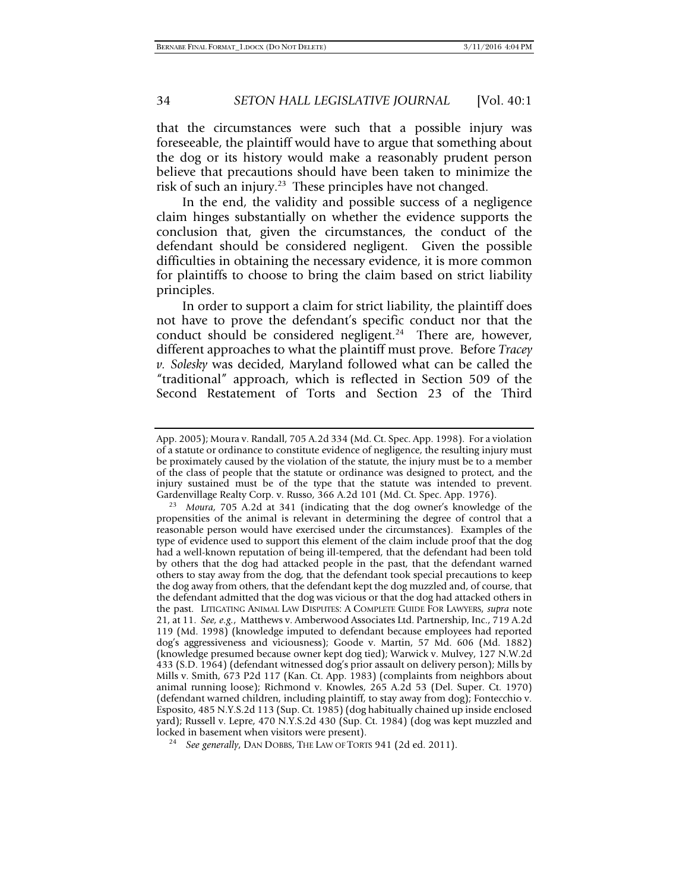that the circumstances were such that a possible injury was foreseeable, the plaintiff would have to argue that something about the dog or its history would make a reasonably prudent person believe that precautions should have been taken to minimize the risk of such an injury.<sup>23</sup> These principles have not changed.

In the end, the validity and possible success of a negligence claim hinges substantially on whether the evidence supports the conclusion that, given the circumstances, the conduct of the defendant should be considered negligent. Given the possible difficulties in obtaining the necessary evidence, it is more common for plaintiffs to choose to bring the claim based on strict liability principles.

In order to support a claim for strict liability, the plaintiff does not have to prove the defendant's specific conduct nor that the conduct should be considered negligent.<sup>24</sup> There are, however, different approaches to what the plaintiff must prove. Before *Tracey v. Solesky* was decided, Maryland followed what can be called the "traditional" approach, which is reflected in Section 509 of the Second Restatement of Torts and Section 23 of the Third

App. 2005); Moura v. Randall, 705 A.2d 334 (Md. Ct. Spec. App. 1998). For a violation of a statute or ordinance to constitute evidence of negligence, the resulting injury must be proximately caused by the violation of the statute, the injury must be to a member of the class of people that the statute or ordinance was designed to protect, and the injury sustained must be of the type that the statute was intended to prevent. Gardenvillage Realty Corp. v. Russo, 366 A.2d 101 (Md. Ct. Spec. App. 1976).

<sup>&</sup>lt;sup>23</sup> Moura, 705 A.2d at 341 (indicating that the dog owner's knowledge of the propensities of the animal is relevant in determining the degree of control that a reasonable person would have exercised under the circumstances). Examples of the type of evidence used to support this element of the claim include proof that the dog had a well-known reputation of being ill-tempered, that the defendant had been told by others that the dog had attacked people in the past, that the defendant warned others to stay away from the dog, that the defendant took special precautions to keep the dog away from others, that the defendant kept the dog muzzled and, of course, that the defendant admitted that the dog was vicious or that the dog had attacked others in the past. LITIGATING ANIMAL LAW DISPUTES: A COMPLETE GUIDE FOR LAWYERS, *supra* note 21, at 11. *See, e.g.*, Matthews v. Amberwood Associates Ltd. Partnership, Inc., 719 A.2d 119 (Md. 1998) (knowledge imputed to defendant because employees had reported dog's aggressiveness and viciousness); Goode v. Martin, 57 Md. 606 (Md. 1882) (knowledge presumed because owner kept dog tied); Warwick v. Mulvey, 127 N.W.2d 433 (S.D. 1964) (defendant witnessed dog's prior assault on delivery person); Mills by Mills v. Smith, 673 P2d 117 (Kan. Ct. App. 1983) (complaints from neighbors about animal running loose); Richmond v. Knowles, 265 A.2d 53 (Del. Super. Ct. 1970) (defendant warned children, including plaintiff, to stay away from dog); Fontecchio v. Esposito, 485 N.Y.S.2d 113 (Sup. Ct. 1985) (dog habitually chained up inside enclosed yard); Russell v. Lepre, 470 N.Y.S.2d 430 (Sup. Ct. 1984) (dog was kept muzzled and

<sup>&</sup>lt;sup>24</sup> See generally, DAN DOBBS, THE LAW OF TORTS 941 (2d ed. 2011).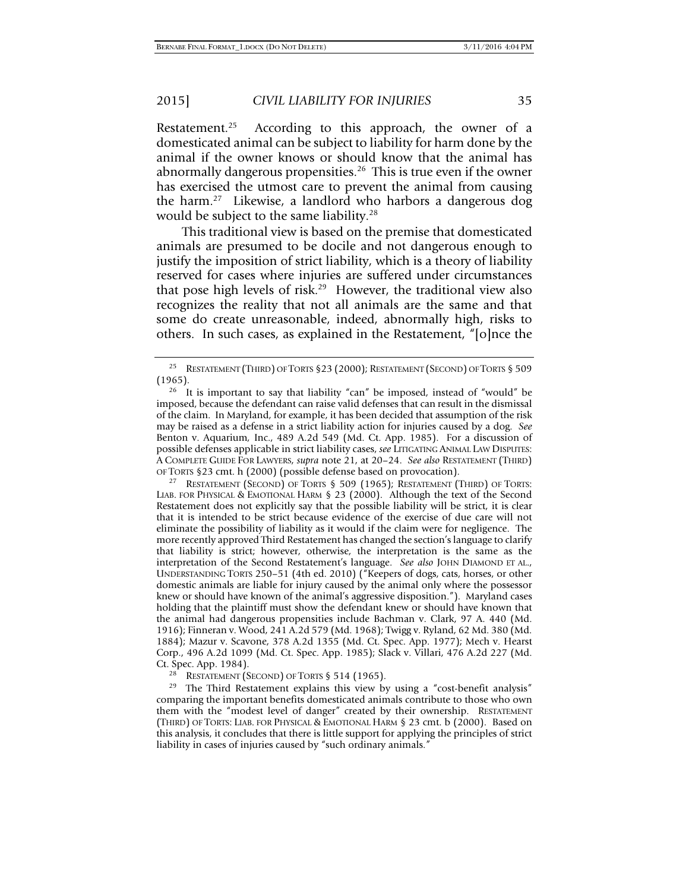Restatement.<sup>25</sup> According to this approach, the owner of a domesticated animal can be subject to liability for harm done by the animal if the owner knows or should know that the animal has abnormally dangerous propensities.<sup>26</sup> This is true even if the owner has exercised the utmost care to prevent the animal from causing the harm.27 Likewise, a landlord who harbors a dangerous dog would be subject to the same liability.<sup>28</sup>

This traditional view is based on the premise that domesticated animals are presumed to be docile and not dangerous enough to justify the imposition of strict liability, which is a theory of liability reserved for cases where injuries are suffered under circumstances that pose high levels of risk.<sup>29</sup> However, the traditional view also recognizes the reality that not all animals are the same and that some do create unreasonable, indeed, abnormally high, risks to others. In such cases, as explained in the Restatement, "[o]nce the

LIAB. FOR PHYSICAL & EMOTIONAL HARM § 23 (2000). Although the text of the Second Restatement does not explicitly say that the possible liability will be strict, it is clear that it is intended to be strict because evidence of the exercise of due care will not eliminate the possibility of liability as it would if the claim were for negligence. The more recently approved Third Restatement has changed the section's language to clarify that liability is strict; however, otherwise, the interpretation is the same as the interpretation of the Second Restatement's language. *See also* JOHN DIAMOND ET AL., UNDERSTANDING TORTS 250–51 (4th ed. 2010) ("Keepers of dogs, cats, horses, or other domestic animals are liable for injury caused by the animal only where the possessor knew or should have known of the animal's aggressive disposition."). Maryland cases holding that the plaintiff must show the defendant knew or should have known that the animal had dangerous propensities include Bachman v. Clark, 97 A. 440 (Md. 1916); Finneran v. Wood, 241 A.2d 579 (Md. 1968); Twigg v. Ryland, 62 Md. 380 (Md. 1884); Mazur v. Scavone, 378 A.2d 1355 (Md. Ct. Spec. App. 1977); Mech v. Hearst Corp., 496 A.2d 1099 (Md. Ct. Spec. App. 1985); Slack v. Villari, 476 A.2d 227 (Md.

Ct. Spec. App. 1984).<br><sup>28</sup> RESTATEMENT (SECOND) OF TORTS § 514 (1965).<br><sup>29</sup> The Third Restatement explains this view by using a "cost-benefit analysis" comparing the important benefits domesticated animals contribute to those who own them with the "modest level of danger" created by their ownership. RESTATEMENT (THIRD) OF TORTS: LIAB. FOR PHYSICAL & EMOTIONAL HARM § 23 cmt. b (2000). Based on this analysis, it concludes that there is little support for applying the principles of strict liability in cases of injuries caused by "such ordinary animals."

<sup>&</sup>lt;sup>25</sup> RESTATEMENT (THIRD) OF TORTS §23 (2000); RESTATEMENT (SECOND) OF TORTS § 509 (1965).

<sup>&</sup>lt;sup>26</sup> It is important to say that liability "can" be imposed, instead of "would" be imposed, because the defendant can raise valid defenses that can result in the dismissal of the claim. In Maryland, for example, it has been decided that assumption of the risk may be raised as a defense in a strict liability action for injuries caused by a dog. *See* Benton v. Aquarium*,* Inc., 489 A.2d 549 (Md. Ct. App. 1985). For a discussion of possible defenses applicable in strict liability cases, *see* LITIGATING ANIMAL LAW DISPUTES: A COMPLETE GUIDE FOR LAWYERS, *supra* note 21, at 20–24. *See also* RESTATEMENT (THIRD) OF TORTS §23 cmt. h (2000) (possible defense based on provocation).<br><sup>27</sup> RESTATEMENT (SECOND) OF TORTS § 509 (1965); RESTATEMENT (THIRD) OF TORTS: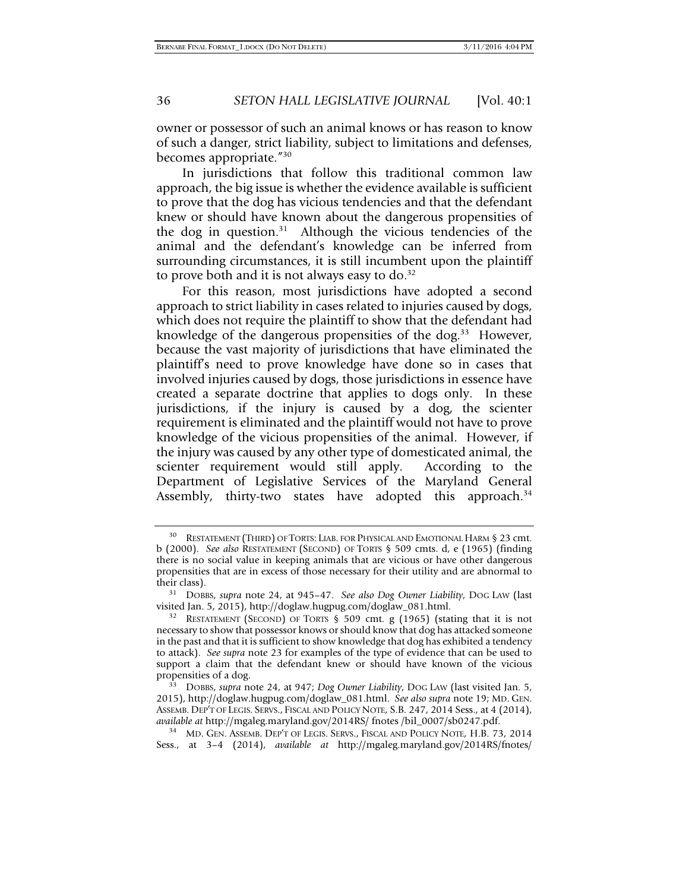owner or possessor of such an animal knows or has reason to know of such a danger, strict liability, subject to limitations and defenses, becomes appropriate."30

In jurisdictions that follow this traditional common law approach, the big issue is whether the evidence available is sufficient to prove that the dog has vicious tendencies and that the defendant knew or should have known about the dangerous propensities of the dog in question.<sup>31</sup> Although the vicious tendencies of the animal and the defendant's knowledge can be inferred from surrounding circumstances, it is still incumbent upon the plaintiff to prove both and it is not always easy to  $do.^{32}$ 

For this reason, most jurisdictions have adopted a second approach to strict liability in cases related to injuries caused by dogs, which does not require the plaintiff to show that the defendant had knowledge of the dangerous propensities of the dog.<sup>33</sup> However, because the vast majority of jurisdictions that have eliminated the plaintiff's need to prove knowledge have done so in cases that involved injuries caused by dogs, those jurisdictions in essence have created a separate doctrine that applies to dogs only. In these jurisdictions, if the injury is caused by a dog, the scienter requirement is eliminated and the plaintiff would not have to prove knowledge of the vicious propensities of the animal. However, if the injury was caused by any other type of domesticated animal, the scienter requirement would still apply. According to the Department of Legislative Services of the Maryland General Assembly, thirty-two states have adopted this approach. $34$ 

Sess., at 3–4 (2014), *available at* http://mgaleg.maryland.gov/2014RS/fnotes/

<sup>30</sup> RESTATEMENT (THIRD) OF TORTS: LIAB. FOR PHYSICAL AND EMOTIONAL HARM § 23 cmt. b (2000). *See also* RESTATEMENT (SECOND) OF TORTS § 509 cmts. d, e (1965) (finding there is no social value in keeping animals that are vicious or have other dangerous propensities that are in excess of those necessary for their utility and are abnormal to

their class). 31 DOBBS, *supra* note 24, at 945–47. *See also Dog Owner Liability*, DOG LAW (last

<sup>&</sup>lt;sup>32</sup> RESTATEMENT (SECOND) OF TORTS § 509 cmt. g (1965) (stating that it is not necessary to show that possessor knows or should know that dog has attacked someone in the past and that it is sufficient to show knowledge that dog has exhibited a tendency to attack). *See supra* note 23 for examples of the type of evidence that can be used to support a claim that the defendant knew or should have known of the vicious propensities of a dog.

<sup>&</sup>lt;sup>33</sup> DOBBS, *supra* note 24, at 947; *Dog Owner Liability*, Dog LAW (last visited Jan. 5, 2015), http://doglaw.hugpug.com/doglaw\_081.html. *See also supra* note 19; MD. GEN. ASSEMB. DEP'T OF LEGIS. SERVS., FISCAL AND POLICY NOTE, S.B. 247, 2014 Sess., at 4 (2014), *available at* http://mgaleg.maryland.gov/2014RS/ fnotes /bil\_0007/sb0247.pdf. 34 MD. GEN. ASSEMB. DEP'T OF LEGIS. SERVS., FISCAL AND POLICY NOTE, H.B. 73, 2014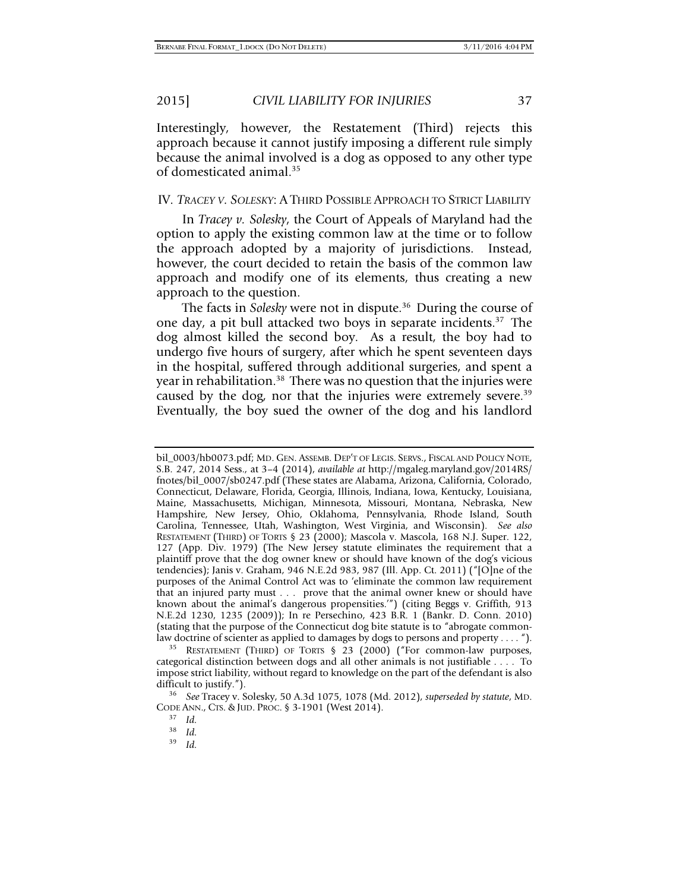Interestingly, however, the Restatement (Third) rejects this approach because it cannot justify imposing a different rule simply because the animal involved is a dog as opposed to any other type of domesticated animal.35

# IV. *TRACEY V. SOLESKY*: A THIRD POSSIBLE APPROACH TO STRICT LIABILITY

In *Tracey v. Solesky*, the Court of Appeals of Maryland had the option to apply the existing common law at the time or to follow the approach adopted by a majority of jurisdictions. Instead, however, the court decided to retain the basis of the common law approach and modify one of its elements, thus creating a new approach to the question.

The facts in *Solesky* were not in dispute.<sup>36</sup> During the course of one day, a pit bull attacked two boys in separate incidents.37 The dog almost killed the second boy. As a result, the boy had to undergo five hours of surgery, after which he spent seventeen days in the hospital, suffered through additional surgeries, and spent a year in rehabilitation.<sup>38</sup> There was no question that the injuries were caused by the dog, nor that the injuries were extremely severe.<sup>39</sup> Eventually, the boy sued the owner of the dog and his landlord

bil\_0003/hb0073.pdf; MD. GEN. ASSEMB. DEP'T OF LEGIS. SERVS., FISCAL AND POLICY NOTE, S.B. 247, 2014 Sess., at 3–4 (2014), *available at* http://mgaleg.maryland.gov/2014RS/ fnotes/bil\_0007/sb0247.pdf (These states are Alabama, Arizona, California, Colorado, Connecticut, Delaware, Florida, Georgia, Illinois, Indiana, Iowa, Kentucky, Louisiana, Maine, Massachusetts, Michigan, Minnesota, Missouri, Montana, Nebraska, New Hampshire, New Jersey, Ohio, Oklahoma, Pennsylvania, Rhode Island, South Carolina, Tennessee, Utah, Washington, West Virginia, and Wisconsin). *See also* RESTATEMENT (THIRD) OF TORTS § 23 (2000); Mascola v. Mascola, 168 N.J. Super. 122, 127 (App. Div. 1979) (The New Jersey statute eliminates the requirement that a plaintiff prove that the dog owner knew or should have known of the dog's vicious tendencies); Janis v. Graham, 946 N.E.2d 983, 987 (Ill. App. Ct. 2011) ("[O]ne of the purposes of the Animal Control Act was to 'eliminate the common law requirement that an injured party must . . . prove that the animal owner knew or should have known about the animal's dangerous propensities.'") (citing Beggs v. Griffith, 913 N.E.2d 1230, 1235 (2009)); In re Persechino, 423 B.R. 1 (Bankr. D. Conn. 2010) (stating that the purpose of the Connecticut dog bite statute is to "abrogate common-

law doctrine of scienter as applied to damages by dogs to persons and property . . . . ").<br><sup>35</sup> RESTATEMENT (THIRD) OF TORTS § 23 (2000) ("For common-law purposes, categorical distinction between dogs and all other animals is not justifiable . . . . To impose strict liability, without regard to knowledge on the part of the defendant is also difficult to justify."). 36 *See* Tracey v. Solesky, 50 A.3d 1075, 1078 (Md. 2012), *superseded by statute*, MD.

CODE ANN., CTS. & JUD. PROC. § 3-1901 (West 2014).<br><sup>37</sup> *Id.*<br><sup>38</sup> *Id.*<br><sup>39</sup> *Id.* 

<sup>39</sup> *Id.*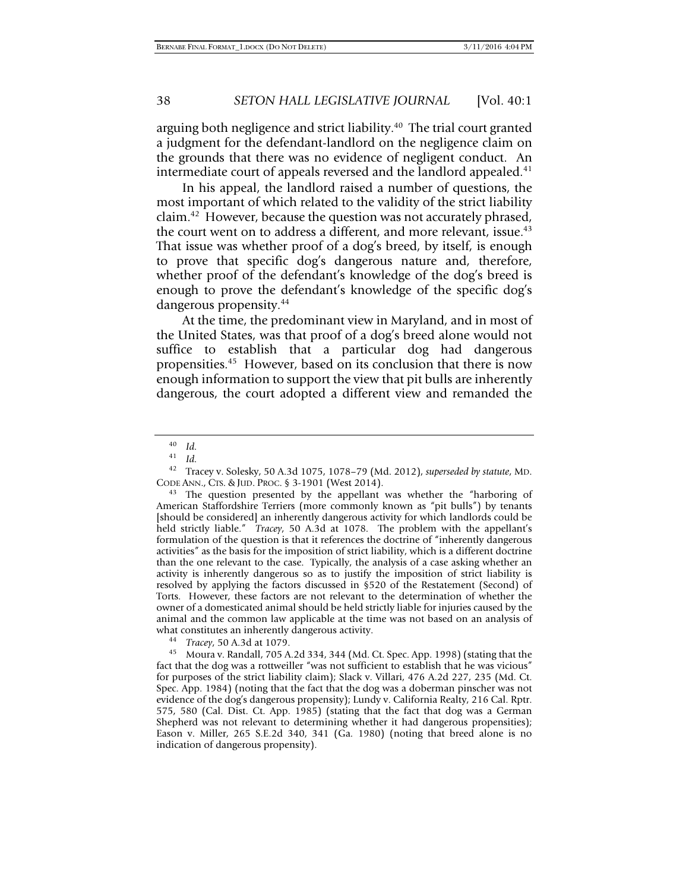arguing both negligence and strict liability.<sup>40</sup> The trial court granted a judgment for the defendant-landlord on the negligence claim on the grounds that there was no evidence of negligent conduct. An intermediate court of appeals reversed and the landlord appealed.<sup>41</sup>

In his appeal, the landlord raised a number of questions, the most important of which related to the validity of the strict liability claim.42 However, because the question was not accurately phrased, the court went on to address a different, and more relevant, issue.<sup>43</sup> That issue was whether proof of a dog's breed, by itself, is enough to prove that specific dog's dangerous nature and, therefore, whether proof of the defendant's knowledge of the dog's breed is enough to prove the defendant's knowledge of the specific dog's dangerous propensity.44

At the time, the predominant view in Maryland, and in most of the United States, was that proof of a dog's breed alone would not suffice to establish that a particular dog had dangerous propensities.45 However, based on its conclusion that there is now enough information to support the view that pit bulls are inherently dangerous, the court adopted a different view and remanded the

 $\begin{array}{cc} 40 & Id. \\ 41 & 11 \end{array}$ 

 $\frac{41}{42}$  *Id.* 

<sup>42</sup> Tracey v. Solesky, 50 A.3d 1075, 1078–79 (Md. 2012), *superseded by statute*, MD.

<sup>&</sup>lt;sup>43</sup> The question presented by the appellant was whether the "harboring of American Staffordshire Terriers (more commonly known as "pit bulls") by tenants [should be considered] an inherently dangerous activity for which landlords could be held strictly liable." *Tracey*, 50 A.3d at 1078. The problem with the appellant's formulation of the question is that it references the doctrine of "inherently dangerous activities" as the basis for the imposition of strict liability, which is a different doctrine than the one relevant to the case. Typically, the analysis of a case asking whether an activity is inherently dangerous so as to justify the imposition of strict liability is resolved by applying the factors discussed in §520 of the Restatement (Second) of Torts. However, these factors are not relevant to the determination of whether the owner of a domesticated animal should be held strictly liable for injuries caused by the animal and the common law applicable at the time was not based on an analysis of what constitutes an inherently dangerous activity.

what constitutes an inherently dangerous activity. 44 *Tracey*, 50 A.3d at 1079. 45 Moura v. Randall, 705 A.2d 334, 344 (Md. Ct. Spec. App. 1998) (stating that the fact that the dog was a rottweiller "was not sufficient to establish that he was vicious" for purposes of the strict liability claim); Slack v. Villari, 476 A.2d 227, 235 (Md. Ct. Spec. App. 1984) (noting that the fact that the dog was a doberman pinscher was not evidence of the dog's dangerous propensity); Lundy v. California Realty, 216 Cal. Rptr. 575, 580 (Cal. Dist. Ct. App. 1985) (stating that the fact that dog was a German Shepherd was not relevant to determining whether it had dangerous propensities); Eason v. Miller, 265 S.E.2d 340, 341 (Ga. 1980) (noting that breed alone is no indication of dangerous propensity).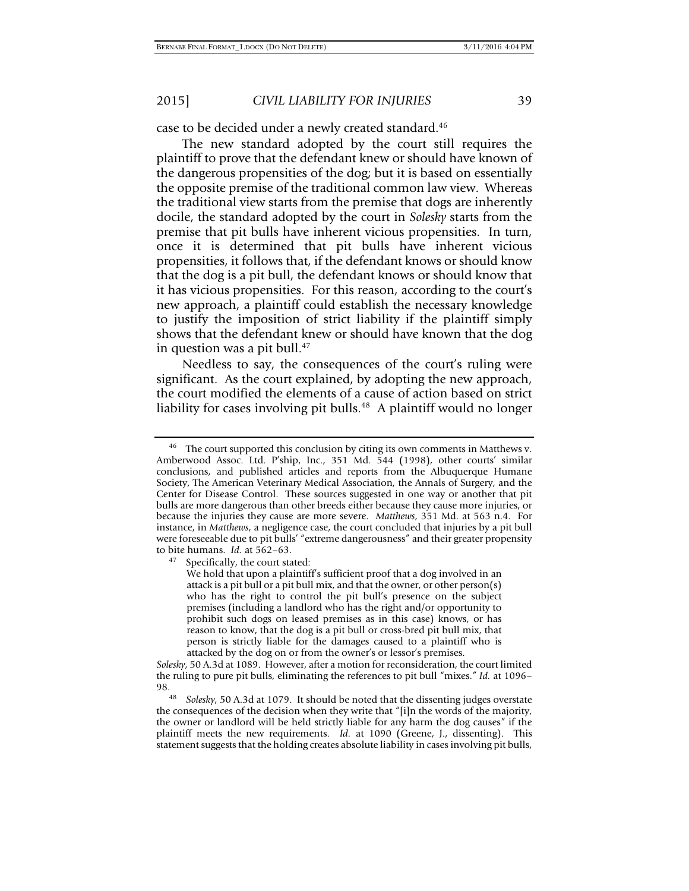case to be decided under a newly created standard.<sup>46</sup>

The new standard adopted by the court still requires the plaintiff to prove that the defendant knew or should have known of the dangerous propensities of the dog; but it is based on essentially the opposite premise of the traditional common law view. Whereas the traditional view starts from the premise that dogs are inherently docile, the standard adopted by the court in *Solesky* starts from the premise that pit bulls have inherent vicious propensities. In turn, once it is determined that pit bulls have inherent vicious propensities, it follows that, if the defendant knows or should know that the dog is a pit bull, the defendant knows or should know that it has vicious propensities. For this reason, according to the court's new approach, a plaintiff could establish the necessary knowledge to justify the imposition of strict liability if the plaintiff simply shows that the defendant knew or should have known that the dog in question was a pit bull.<sup>47</sup>

Needless to say, the consequences of the court's ruling were significant. As the court explained, by adopting the new approach, the court modified the elements of a cause of action based on strict liability for cases involving pit bulls.<sup>48</sup> A plaintiff would no longer

Specifically, the court stated:

We hold that upon a plaintiff's sufficient proof that a dog involved in an attack is a pit bull or a pit bull mix, and that the owner, or other person(s) who has the right to control the pit bull's presence on the subject premises (including a landlord who has the right and/or opportunity to prohibit such dogs on leased premises as in this case) knows, or has reason to know, that the dog is a pit bull or cross-bred pit bull mix, that person is strictly liable for the damages caused to a plaintiff who is attacked by the dog on or from the owner's or lessor's premises.

*Solesky*, 50 A.3d at 1089. However, after a motion for reconsideration, the court limited the ruling to pure pit bulls, eliminating the references to pit bull "mixes." *Id.* at 1096–

98. 48 *Solesky*, 50 A.3d at 1079. It should be noted that the dissenting judges overstate the consequences of the decision when they write that "[i]n the words of the majority, the owner or landlord will be held strictly liable for any harm the dog causes" if the plaintiff meets the new requirements. *Id.* at 1090 (Greene, J., dissenting). This statement suggests that the holding creates absolute liability in cases involving pit bulls,

<sup>&</sup>lt;sup>46</sup> The court supported this conclusion by citing its own comments in Matthews v. Amberwood Assoc. Ltd. P'ship, Inc., 351 Md. 544 (1998), other courts' similar conclusions, and published articles and reports from the Albuquerque Humane Society, The American Veterinary Medical Association, the Annals of Surgery, and the Center for Disease Control. These sources suggested in one way or another that pit bulls are more dangerous than other breeds either because they cause more injuries, or because the injuries they cause are more severe. *Matthews*, 351 Md. at 563 n.4. For instance, in *Matthews*, a negligence case, the court concluded that injuries by a pit bull were foreseeable due to pit bulls' "extreme dangerousness" and their greater propensity to bite humans. *Id.* at 562–63.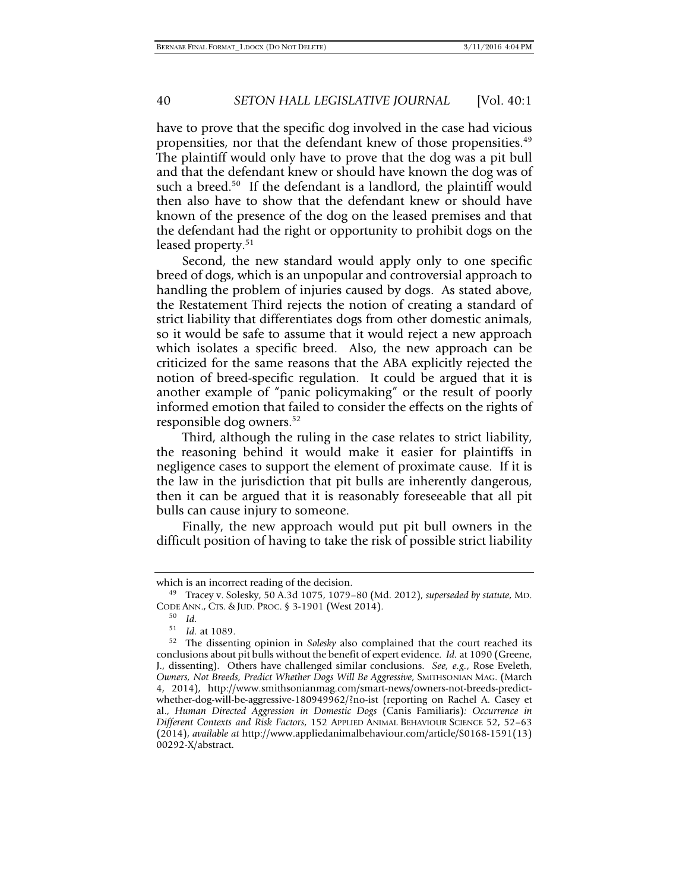have to prove that the specific dog involved in the case had vicious propensities, nor that the defendant knew of those propensities.49 The plaintiff would only have to prove that the dog was a pit bull and that the defendant knew or should have known the dog was of such a breed.<sup>50</sup> If the defendant is a landlord, the plaintiff would then also have to show that the defendant knew or should have known of the presence of the dog on the leased premises and that the defendant had the right or opportunity to prohibit dogs on the leased property.<sup>51</sup>

Second, the new standard would apply only to one specific breed of dogs, which is an unpopular and controversial approach to handling the problem of injuries caused by dogs. As stated above, the Restatement Third rejects the notion of creating a standard of strict liability that differentiates dogs from other domestic animals, so it would be safe to assume that it would reject a new approach which isolates a specific breed. Also, the new approach can be criticized for the same reasons that the ABA explicitly rejected the notion of breed-specific regulation. It could be argued that it is another example of "panic policymaking" or the result of poorly informed emotion that failed to consider the effects on the rights of responsible dog owners.52

Third, although the ruling in the case relates to strict liability, the reasoning behind it would make it easier for plaintiffs in negligence cases to support the element of proximate cause. If it is the law in the jurisdiction that pit bulls are inherently dangerous, then it can be argued that it is reasonably foreseeable that all pit bulls can cause injury to someone.

Finally, the new approach would put pit bull owners in the difficult position of having to take the risk of possible strict liability

which is an incorrect reading of the decision. 49 Tracey v. Solesky, 50 A.3d 1075, 1079–80 (Md. 2012), *superseded by statute*, MD. CODE ANN., CTS. & JUD. PROC. § 3-1901 (West 2014).<br><sup>50</sup> *Id.*<br><sup>51</sup> *Id.* at 1089

<sup>51</sup>*Id.* at 1089. 52 The dissenting opinion in *Solesky* also complained that the court reached its conclusions about pit bulls without the benefit of expert evidence. *Id.* at 1090 (Greene, J., dissenting). Others have challenged similar conclusions. *See, e.g.*, Rose Eveleth, *Owners, Not Breeds, Predict Whether Dogs Will Be Aggressive*, SMITHSONIAN MAG. (March 4, 2014), http://www.smithsonianmag.com/smart-news/owners-not-breeds-predictwhether-dog-will-be-aggressive-180949962/?no-ist (reporting on Rachel A. Casey et al., *Human Directed Aggression in Domestic Dogs* (Canis Familiaris)*: Occurrence in Different Contexts and Risk Factors*, 152 APPLIED ANIMAL BEHAVIOUR SCIENCE 52, 52–63 (2014), *available at* http://www.appliedanimalbehaviour.com/article/S0168-1591(13) 00292-X/abstract.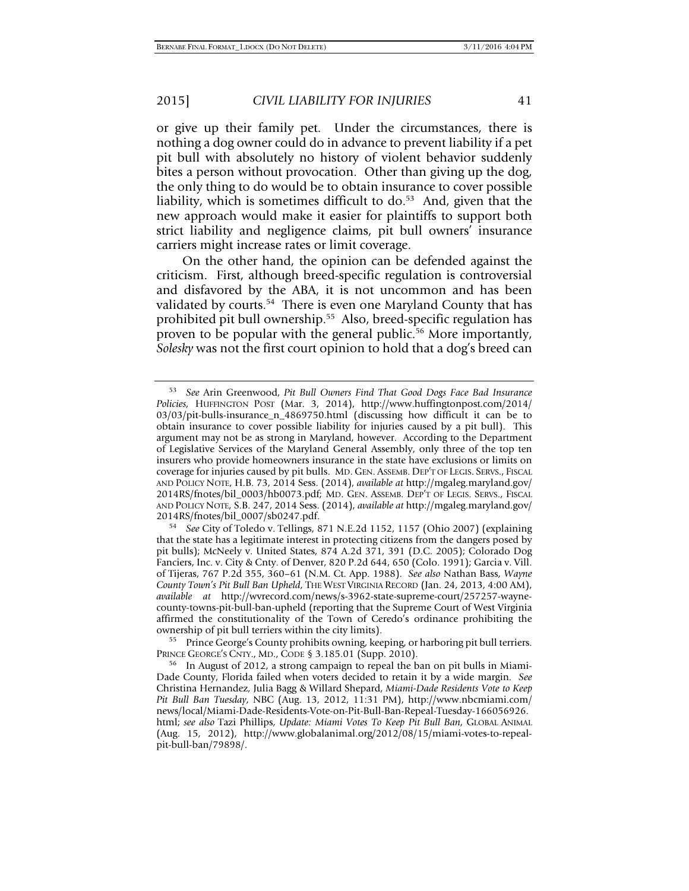or give up their family pet. Under the circumstances, there is nothing a dog owner could do in advance to prevent liability if a pet pit bull with absolutely no history of violent behavior suddenly bites a person without provocation. Other than giving up the dog, the only thing to do would be to obtain insurance to cover possible liability, which is sometimes difficult to  $do.^{53}$  And, given that the new approach would make it easier for plaintiffs to support both strict liability and negligence claims, pit bull owners' insurance carriers might increase rates or limit coverage.

On the other hand, the opinion can be defended against the criticism. First, although breed-specific regulation is controversial and disfavored by the ABA, it is not uncommon and has been validated by courts.<sup>54</sup> There is even one Maryland County that has prohibited pit bull ownership.55 Also, breed-specific regulation has proven to be popular with the general public.<sup>56</sup> More importantly, *Solesky* was not the first court opinion to hold that a dog's breed can

 $^{55}$  Prince George's County prohibits owning, keeping, or harboring pit bull terriers. PRINCE GEORGE'S CNTY., MD., CODE § 3.185.01 (Supp. 2010).<br><sup>56</sup> In August of 2012, a strong campaign to repeal the ban on pit bulls in Miami-

<sup>53</sup> *See* Arin Greenwood, *Pit Bull Owners Find That Good Dogs Face Bad Insurance Policies,* HUFFINGTON POST (Mar. 3, 2014), http://www.huffingtonpost.com/2014/ 03/03/pit-bulls-insurance\_n\_4869750.html (discussing how difficult it can be to obtain insurance to cover possible liability for injuries caused by a pit bull). This argument may not be as strong in Maryland, however. According to the Department of Legislative Services of the Maryland General Assembly, only three of the top ten insurers who provide homeowners insurance in the state have exclusions or limits on coverage for injuries caused by pit bulls. MD. GEN. ASSEMB. DEP'T OF LEGIS. SERVS., FISCAL AND POLICY NOTE, H.B. 73, 2014 Sess. (2014), *available at* http://mgaleg.maryland.gov/ 2014RS/fnotes/bil\_0003/hb0073.pdf; MD. GEN. ASSEMB. DEP'T OF LEGIS. SERVS., FISCAL AND POLICY NOTE, S.B. 247, 2014 Sess. (2014), *available at* http://mgaleg.maryland.gov/ 2014RS/fnotes/bil\_0007/sb0247.pdf. 54 *See* City of Toledo v. Tellings, 871 N.E.2d 1152, 1157 (Ohio 2007) (explaining

that the state has a legitimate interest in protecting citizens from the dangers posed by pit bulls); McNeely v. United States, 874 A.2d 371, 391 (D.C. 2005); Colorado Dog Fanciers, Inc. v. City & Cnty. of Denver, 820 P.2d 644, 650 (Colo. 1991); Garcia v. Vill. of Tijeras, 767 P.2d 355, 360–61 (N.M. Ct. App. 1988). *See also* Nathan Bass, *Wayne County Town's Pit Bull Ban Upheld*, THE WEST VIRGINIA RECORD (Jan. 24, 2013, 4:00 AM), *available at* http://wvrecord.com/news/s-3962-state-supreme-court/257257-waynecounty-towns-pit-bull-ban-upheld (reporting that the Supreme Court of West Virginia affirmed the constitutionality of the Town of Ceredo's ordinance prohibiting the ownership of pit bull terriers within the city limits).

Dade County, Florida failed when voters decided to retain it by a wide margin. *See* Christina Hernandez, Julia Bagg & Willard Shepard, *Miami-Dade Residents Vote to Keep Pit Bull Ban Tuesday*, NBC (Aug. 13, 2012, 11:31 PM), http://www.nbcmiami.com/ news/local/Miami-Dade-Residents-Vote-on-Pit-Bull-Ban-Repeal-Tuesday-166056926. html; *see also* Tazi Phillips, *Update: Miami Votes To Keep Pit Bull Ban*, GLOBAL ANIMAL (Aug. 15, 2012), http://www.globalanimal.org/2012/08/15/miami-votes-to-repealpit-bull-ban/79898/.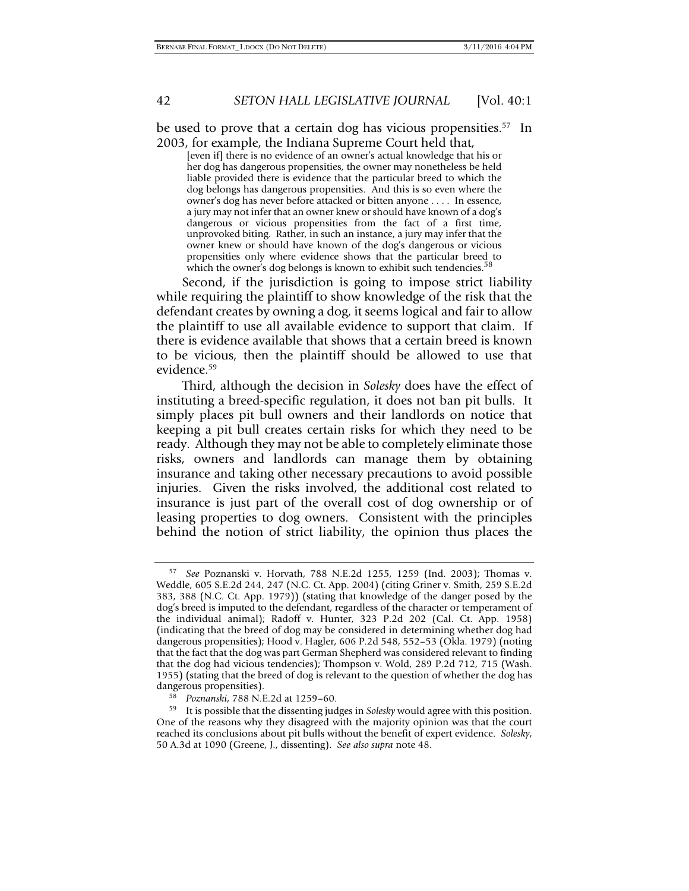be used to prove that a certain dog has vicious propensities.<sup>57</sup> In 2003, for example, the Indiana Supreme Court held that,

[even if] there is no evidence of an owner's actual knowledge that his or her dog has dangerous propensities, the owner may nonetheless be held liable provided there is evidence that the particular breed to which the dog belongs has dangerous propensities. And this is so even where the owner's dog has never before attacked or bitten anyone . . . . In essence, a jury may not infer that an owner knew or should have known of a dog's dangerous or vicious propensities from the fact of a first time, unprovoked biting. Rather, in such an instance, a jury may infer that the owner knew or should have known of the dog's dangerous or vicious propensities only where evidence shows that the particular breed to which the owner's dog belongs is known to exhibit such tendencies.

Second, if the jurisdiction is going to impose strict liability while requiring the plaintiff to show knowledge of the risk that the defendant creates by owning a dog, it seems logical and fair to allow the plaintiff to use all available evidence to support that claim. If there is evidence available that shows that a certain breed is known to be vicious, then the plaintiff should be allowed to use that evidence.59

Third, although the decision in *Solesky* does have the effect of instituting a breed-specific regulation, it does not ban pit bulls. It simply places pit bull owners and their landlords on notice that keeping a pit bull creates certain risks for which they need to be ready. Although they may not be able to completely eliminate those risks, owners and landlords can manage them by obtaining insurance and taking other necessary precautions to avoid possible injuries. Given the risks involved, the additional cost related to insurance is just part of the overall cost of dog ownership or of leasing properties to dog owners. Consistent with the principles behind the notion of strict liability, the opinion thus places the

<sup>57</sup> *See* Poznanski v. Horvath, 788 N.E.2d 1255, 1259 (Ind. 2003); Thomas v. Weddle, 605 S.E.2d 244, 247 (N.C. Ct. App. 2004) (citing Griner v. Smith, 259 S.E.2d 383, 388 (N.C. Ct. App. 1979)) (stating that knowledge of the danger posed by the dog's breed is imputed to the defendant, regardless of the character or temperament of the individual animal); Radoff v. Hunter, 323 P.2d 202 (Cal. Ct. App. 1958) (indicating that the breed of dog may be considered in determining whether dog had dangerous propensities); Hood v. Hagler, 606 P.2d 548, 552–53 (Okla. 1979) (noting that the fact that the dog was part German Shepherd was considered relevant to finding that the dog had vicious tendencies); Thompson v. Wold, 289 P.2d 712, 715 (Wash. 1955) (stating that the breed of dog is relevant to the question of whether the dog has dangerous propensities).

<sup>&</sup>lt;sup>58</sup> *Poznanski, 788 N.E.2d at 1259–60. Poznanski, 788 N.E.2d at 1259–60. Polesky* would agree with this position. One of the reasons why they disagreed with the majority opinion was that the court reached its conclusions about pit bulls without the benefit of expert evidence. *Solesky*, 50 A.3d at 1090 (Greene, J., dissenting). *See also supra* note 48.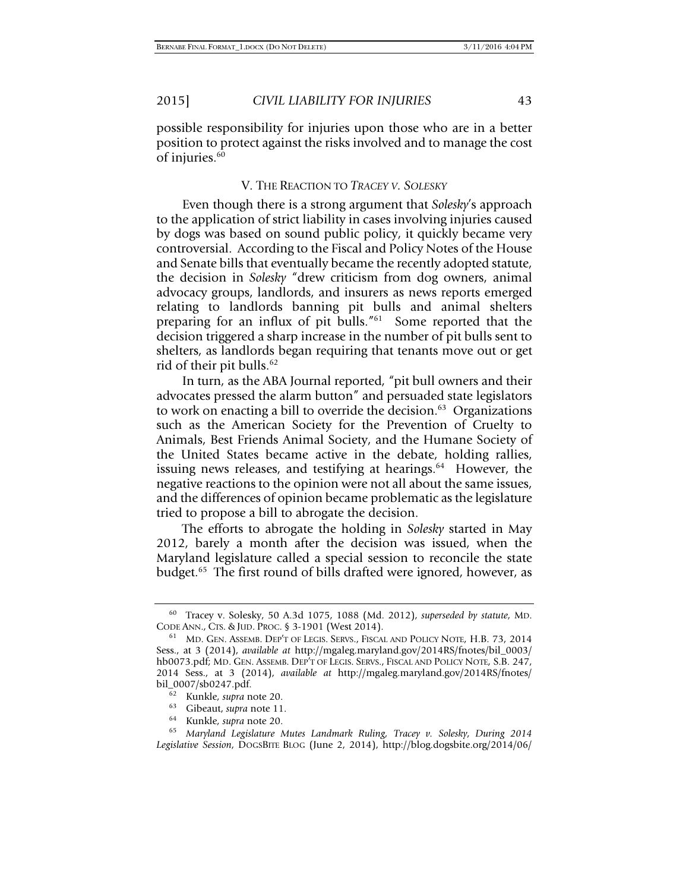possible responsibility for injuries upon those who are in a better position to protect against the risks involved and to manage the cost of injuries.<sup>60</sup>

# V. THE REACTION TO *TRACEY V. SOLESKY*

Even though there is a strong argument that *Solesky*'s approach to the application of strict liability in cases involving injuries caused by dogs was based on sound public policy, it quickly became very controversial. According to the Fiscal and Policy Notes of the House and Senate bills that eventually became the recently adopted statute, the decision in *Solesky* "drew criticism from dog owners, animal advocacy groups, landlords, and insurers as news reports emerged relating to landlords banning pit bulls and animal shelters preparing for an influx of pit bulls."61 Some reported that the decision triggered a sharp increase in the number of pit bulls sent to shelters, as landlords began requiring that tenants move out or get rid of their pit bulls.<sup>62</sup>

In turn, as the ABA Journal reported, "pit bull owners and their advocates pressed the alarm button" and persuaded state legislators to work on enacting a bill to override the decision. $63$  Organizations such as the American Society for the Prevention of Cruelty to Animals, Best Friends Animal Society, and the Humane Society of the United States became active in the debate, holding rallies, issuing news releases, and testifying at hearings.<sup>64</sup> However, the negative reactions to the opinion were not all about the same issues, and the differences of opinion became problematic as the legislature tried to propose a bill to abrogate the decision.

The efforts to abrogate the holding in *Solesky* started in May 2012, barely a month after the decision was issued, when the Maryland legislature called a special session to reconcile the state budget.<sup>65</sup> The first round of bills drafted were ignored, however, as

<sup>60</sup> Tracey v. Solesky, 50 A.3d 1075, 1088 (Md. 2012), *superseded by statute*, MD.

<sup>&</sup>lt;sup>61</sup> MD. GEN. ASSEMB. DEP'T OF LEGIS. SERVS., FISCAL AND POLICY NOTE, H.B. 73, 2014 Sess., at 3 (2014), *available at* http://mgaleg.maryland.gov/2014RS/fnotes/bil\_0003/ hb0073.pdf; MD. GEN. ASSEMB. DEP'T OF LEGIS. SERVS., FISCAL AND POLICY NOTE, S.B. 247, 2014 Sess., at 3 (2014), *available at* http://mgaleg.maryland.gov/2014RS/fnotes/

bil\_0007/sb0247.pdf. 62 Kunkle, *supra* note 20. 63 Gibeaut, *supra* note 11. 64 Kunkle, *supra* note 20. 65 *Maryland Legislature Mutes Landmark Ruling, Tracey v. Solesky*, *During 2014 Legislative Session*, DOGSBITE BLOG (June 2, 2014), http://blog.dogsbite.org/2014/06/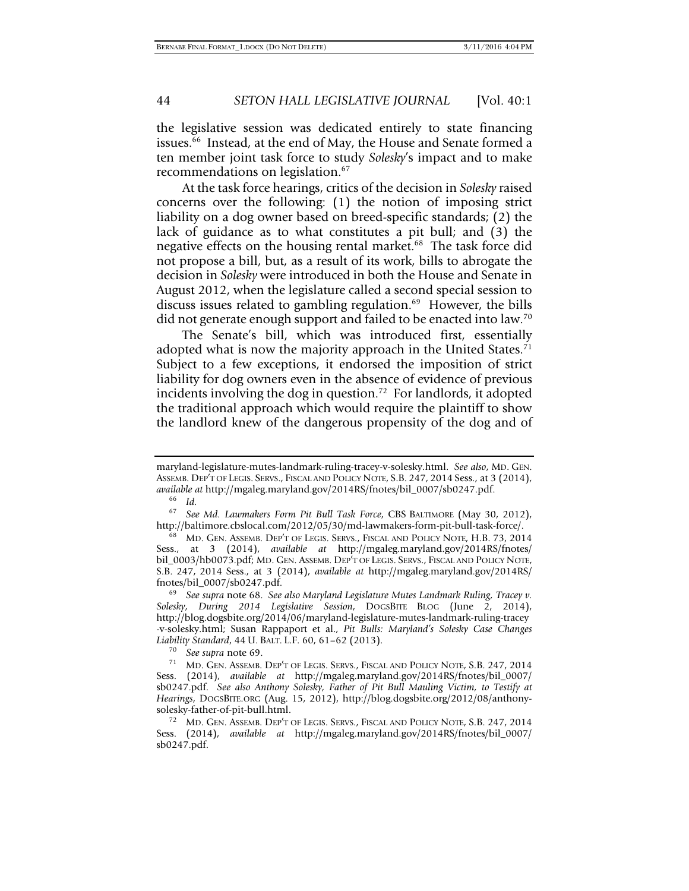the legislative session was dedicated entirely to state financing issues.66 Instead, at the end of May, the House and Senate formed a ten member joint task force to study *Solesky*'s impact and to make recommendations on legislation.<sup>67</sup>

At the task force hearings, critics of the decision in *Solesky* raised concerns over the following: (1) the notion of imposing strict liability on a dog owner based on breed-specific standards; (2) the lack of guidance as to what constitutes a pit bull; and (3) the negative effects on the housing rental market.<sup>68</sup> The task force did not propose a bill, but, as a result of its work, bills to abrogate the decision in *Solesky* were introduced in both the House and Senate in August 2012, when the legislature called a second special session to discuss issues related to gambling regulation.<sup>69</sup> However, the bills did not generate enough support and failed to be enacted into law.<sup>70</sup>

The Senate's bill, which was introduced first, essentially adopted what is now the majority approach in the United States.<sup>71</sup> Subject to a few exceptions, it endorsed the imposition of strict liability for dog owners even in the absence of evidence of previous incidents involving the dog in question.<sup>72</sup> For landlords, it adopted the traditional approach which would require the plaintiff to show the landlord knew of the dangerous propensity of the dog and of

maryland-legislature-mutes-landmark-ruling-tracey-v-solesky.html. *See also*, MD. GEN. ASSEMB. DEP'T OF LEGIS. SERVS., FISCAL AND POLICY NOTE, S.B. 247, 2014 Sess., at 3 (2014), *available at* http://mgaleg.maryland.gov/2014RS/fnotes/bil\_0007/sb0247.pdf. 66 *Id.*

<sup>&</sup>lt;sup>67</sup> *See Md. Lawmakers Form Pit Bull Task Force*, CBS BALTIMORE (May 30, 2012), http://baltimore.cbslocal.com/2012/05/30/md-lawmakers-form-pit-bull-task-force/.

<sup>&</sup>lt;sup>68</sup> MD. GEN. ASSEMB. DEP'T OF LEGIS. SERVS., FISCAL AND POLICY NOTE, H.B. 73, 2014 Sess., at 3 (2014), *available at* http://mgaleg.maryland.gov/2014RS/fnotes/ bil\_0003/hb0073.pdf; MD. GEN. ASSEMB. DEP'T OF LEGIS. SERVS., FISCAL AND POLICY NOTE, S.B. 247, 2014 Sess., at 3 (2014), *available at* http://mgaleg.maryland.gov/2014RS/ fnotes/bil\_0007/sb0247.pdf. 69 *See supra* note 68. *See also Maryland Legislature Mutes Landmark Ruling, Tracey v.* 

*Solesky*, *During 2014 Legislative Session*, DOGSBITE BLOG (June 2, 2014), http://blog.dogsbite.org/2014/06/maryland-legislature-mutes-landmark-ruling-tracey -v-solesky.html; Susan Rappaport et al., *Pit Bulls: Maryland's Solesky Case Changes Liability Standard*, 44 U. BALT. L.F. 60, 61–62 (2013). 70 *See supra* note 69. 71 MD. GEN. ASSEMB. DEP'T OF LEGIS. SERVS., FISCAL AND POLICY NOTE, S.B. 247, <sup>2014</sup>

Sess. (2014), *available at* http://mgaleg.maryland.gov/2014RS/fnotes/bil\_0007/ sb0247.pdf. *See also Anthony Solesky, Father of Pit Bull Mauling Victim, to Testify at Hearings*, DOGSBITE.ORG (Aug. 15, 2012), http://blog.dogsbite.org/2012/08/anthonysolesky-father-of-pit-bull.html. 72 MD. GEN. ASSEMB. DEP'T OF LEGIS. SERVS., FISCAL AND POLICY NOTE, S.B. 247, <sup>2014</sup>

Sess. (2014), *available at* http://mgaleg.maryland.gov/2014RS/fnotes/bil\_0007/ sb0247.pdf.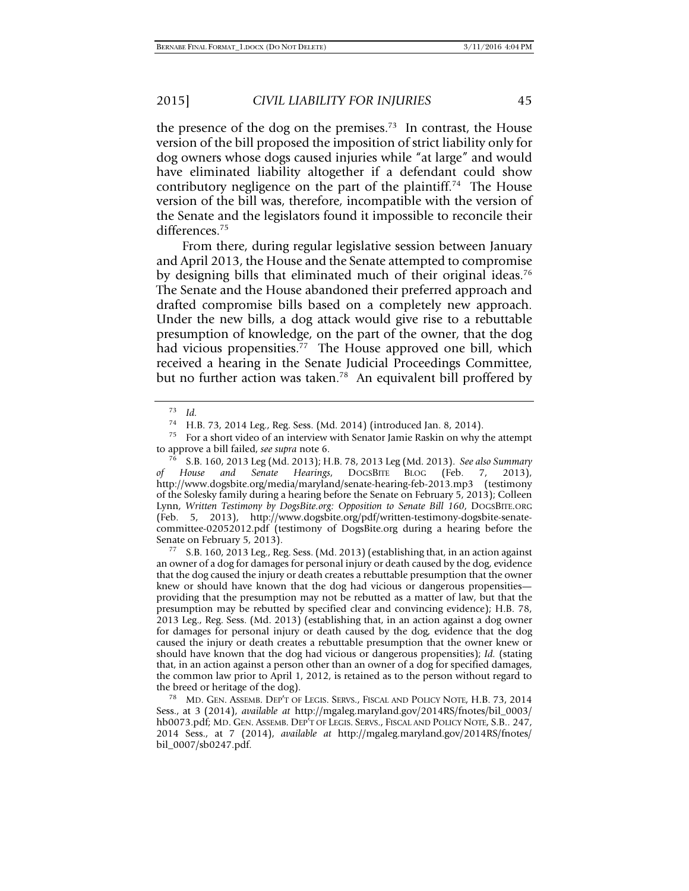the presence of the dog on the premises.<sup>73</sup> In contrast, the House version of the bill proposed the imposition of strict liability only for dog owners whose dogs caused injuries while "at large" and would have eliminated liability altogether if a defendant could show contributory negligence on the part of the plaintiff.<sup>74</sup> The House version of the bill was, therefore, incompatible with the version of the Senate and the legislators found it impossible to reconcile their differences.<sup>75</sup>

From there, during regular legislative session between January and April 2013, the House and the Senate attempted to compromise by designing bills that eliminated much of their original ideas.<sup>76</sup> The Senate and the House abandoned their preferred approach and drafted compromise bills based on a completely new approach. Under the new bills, a dog attack would give rise to a rebuttable presumption of knowledge, on the part of the owner, that the dog had vicious propensities.<sup>77</sup> The House approved one bill, which received a hearing in the Senate Judicial Proceedings Committee, but no further action was taken.<sup>78</sup> An equivalent bill proffered by

an owner of a dog for damages for personal injury or death caused by the dog, evidence that the dog caused the injury or death creates a rebuttable presumption that the owner knew or should have known that the dog had vicious or dangerous propensities providing that the presumption may not be rebutted as a matter of law, but that the presumption may be rebutted by specified clear and convincing evidence); H.B. 78, 2013 Leg., Reg. Sess. (Md. 2013) (establishing that, in an action against a dog owner for damages for personal injury or death caused by the dog, evidence that the dog caused the injury or death creates a rebuttable presumption that the owner knew or should have known that the dog had vicious or dangerous propensities); *Id.* (stating that, in an action against a person other than an owner of a dog for specified damages, the common law prior to April 1, 2012, is retained as to the person without regard to the breed or heritage of the dog).<br><sup>78</sup> MD. GEN. ASSEMB. DEP'T OF LEGIS. SERVS., FISCAL AND POLICY NOTE, H.B. 73, 2014

Sess., at 3 (2014), *available at* http://mgaleg.maryland.gov/2014RS/fnotes/bil\_0003/ hb0073.pdf; MD. GEN. ASSEMB. DEP'T OF LEGIS. SERVS., FISCAL AND POLICY NOTE, S.B.. 247, 2014 Sess., at 7 (2014), *available at* http://mgaleg.maryland.gov/2014RS/fnotes/ bil\_0007/sb0247.pdf.

<sup>73</sup> *Id.*

<sup>74</sup> H.B. 73, 2014 Leg., Reg. Sess. (Md. 2014) (introduced Jan. 8, 2014).

<sup>&</sup>lt;sup>75</sup> For a short video of an interview with Senator Jamie Raskin on why the attempt to approve a bill failed, *see supra* note 6.

to approve a bill failed, *see supra* note 6. 76 S.B. 160, 2013 Leg (Md. 2013); H.B. 78, 2013 Leg (Md. 2013). *See also Summary of House and Senate Hearings*, DOGSBITE BLOG (Feb. 7, 2013), http://www.dogsbite.org/media/maryland/senate-hearing-feb-2013.mp3 (testimony of the Solesky family during a hearing before the Senate on February 5, 2013); Colleen Lynn, *Written Testimony by DogsBite.org: Opposition to Senate Bill 160*, DOGSBITE.ORG (Feb. 5, 2013), http://www.dogsbite.org/pdf/written-testimony-dogsbite-senatecommittee-02052012.pdf (testimony of DogsBite.org during a hearing before the Senate on February 5, 2013).<br><sup>77</sup> S.B. 160, 2013 Leg., Reg. Sess. (Md. 2013) (establishing that, in an action against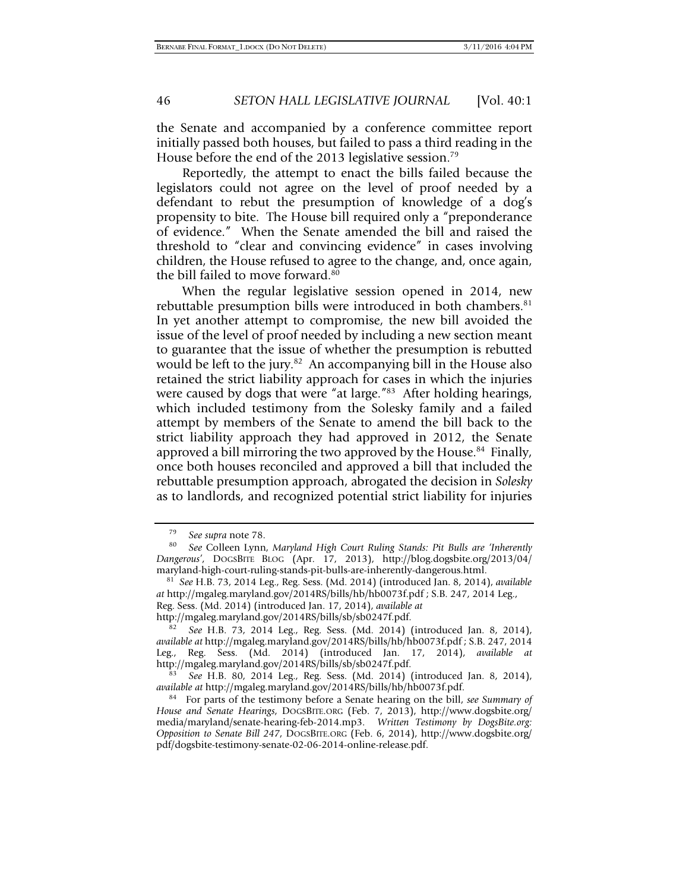the Senate and accompanied by a conference committee report initially passed both houses, but failed to pass a third reading in the House before the end of the 2013 legislative session.<sup>79</sup>

Reportedly, the attempt to enact the bills failed because the legislators could not agree on the level of proof needed by a defendant to rebut the presumption of knowledge of a dog's propensity to bite. The House bill required only a "preponderance of evidence." When the Senate amended the bill and raised the threshold to "clear and convincing evidence" in cases involving children, the House refused to agree to the change, and, once again, the bill failed to move forward.<sup>80</sup>

When the regular legislative session opened in 2014, new rebuttable presumption bills were introduced in both chambers.<sup>81</sup> In yet another attempt to compromise, the new bill avoided the issue of the level of proof needed by including a new section meant to guarantee that the issue of whether the presumption is rebutted would be left to the jury.<sup>82</sup> An accompanying bill in the House also retained the strict liability approach for cases in which the injuries were caused by dogs that were "at large."<sup>83</sup> After holding hearings, which included testimony from the Solesky family and a failed attempt by members of the Senate to amend the bill back to the strict liability approach they had approved in 2012, the Senate approved a bill mirroring the two approved by the House.<sup>84</sup> Finally, once both houses reconciled and approved a bill that included the rebuttable presumption approach, abrogated the decision in *Solesky* as to landlords, and recognized potential strict liability for injuries

<sup>&</sup>lt;sup>79</sup> See supra note 78.<br><sup>80</sup> See Colleen Lynn, *Maryland High Court Ruling Stands: Pit Bulls are 'Inherently Dangerous'*, DOGSBITE BLOG (Apr. 17, 2013), http://blog.dogsbite.org/2013/04/ maryland-high-court-ruling-stands-pit-bulls-are-inherently-dangerous.html.

81 *See* H.B. 73, 2014 Leg., Reg. Sess. (Md. 2014) (introduced Jan. 8, 2014), *available at* http://mgaleg.maryland.gov/2014RS/bills/hb/hb0073f.pdf ; S.B. 247, 2014 Leg., Reg. Sess. (Md. 2014) (introduced Jan. 17, 2014), *available at*

http://mgaleg.maryland.gov/2014RS/bills/sb/sb0247f.pdf. 82 *See* H.B. 73, 2014 Leg., Reg. Sess. (Md. 2014) (introduced Jan. 8, 2014), *available at* http://mgaleg.maryland.gov/2014RS/bills/hb/hb0073f.pdf ; S.B. 247, 2014 Leg., Reg. Sess. (Md. 2014) (introduced Jan. 17, 2014), *available at*

<sup>&</sup>lt;sup>83</sup> See H.B. 80, 2014 Leg., Reg. Sess. (Md. 2014) (introduced Jan. 8, 2014), *available at http://mgaleg.maryland.gov/2014RS/bills/hb/hb0073f.pdf.* 

<sup>&</sup>lt;sup>84</sup> For parts of the testimony before a Senate hearing on the bill, *see Summary of House and Senate Hearings*, DOGSBITE.ORG (Feb. 7, 2013), http://www.dogsbite.org/ media/maryland/senate-hearing-feb-2014.mp3. *Written Testimony by DogsBite.org: Opposition to Senate Bill 247*, DOGSBITE.ORG (Feb. 6, 2014), http://www.dogsbite.org/ pdf/dogsbite-testimony-senate-02-06-2014-online-release.pdf.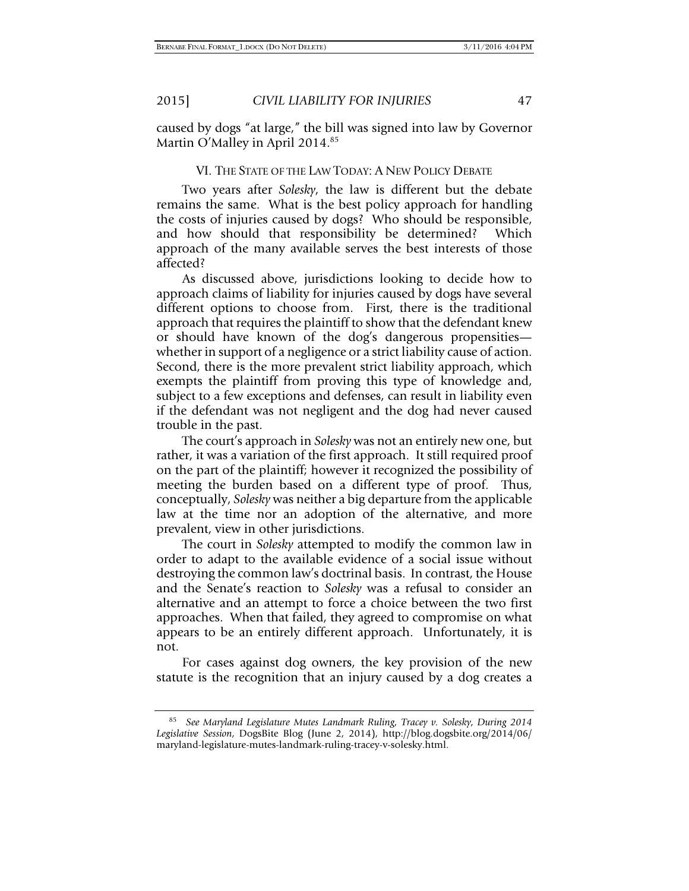caused by dogs "at large," the bill was signed into law by Governor Martin O'Malley in April 2014.<sup>85</sup>

#### VI. THE STATE OF THE LAW TODAY: A NEW POLICY DEBATE

Two years after *Solesky*, the law is different but the debate remains the same. What is the best policy approach for handling the costs of injuries caused by dogs? Who should be responsible, and how should that responsibility be determined? Which approach of the many available serves the best interests of those affected?

As discussed above, jurisdictions looking to decide how to approach claims of liability for injuries caused by dogs have several different options to choose from. First, there is the traditional approach that requires the plaintiff to show that the defendant knew or should have known of the dog's dangerous propensities whether in support of a negligence or a strict liability cause of action. Second, there is the more prevalent strict liability approach, which exempts the plaintiff from proving this type of knowledge and, subject to a few exceptions and defenses, can result in liability even if the defendant was not negligent and the dog had never caused trouble in the past.

The court's approach in *Solesky* was not an entirely new one, but rather, it was a variation of the first approach. It still required proof on the part of the plaintiff; however it recognized the possibility of meeting the burden based on a different type of proof. Thus, conceptually, *Solesky* was neither a big departure from the applicable law at the time nor an adoption of the alternative, and more prevalent, view in other jurisdictions.

The court in *Solesky* attempted to modify the common law in order to adapt to the available evidence of a social issue without destroying the common law's doctrinal basis. In contrast, the House and the Senate's reaction to *Solesky* was a refusal to consider an alternative and an attempt to force a choice between the two first approaches. When that failed, they agreed to compromise on what appears to be an entirely different approach. Unfortunately, it is not.

For cases against dog owners, the key provision of the new statute is the recognition that an injury caused by a dog creates a

<sup>85</sup> *See Maryland Legislature Mutes Landmark Ruling, Tracey v. Solesky*, *During 2014 Legislative Session*, DogsBite Blog (June 2, 2014), http://blog.dogsbite.org/2014/06/ maryland-legislature-mutes-landmark-ruling-tracey-v-solesky.html.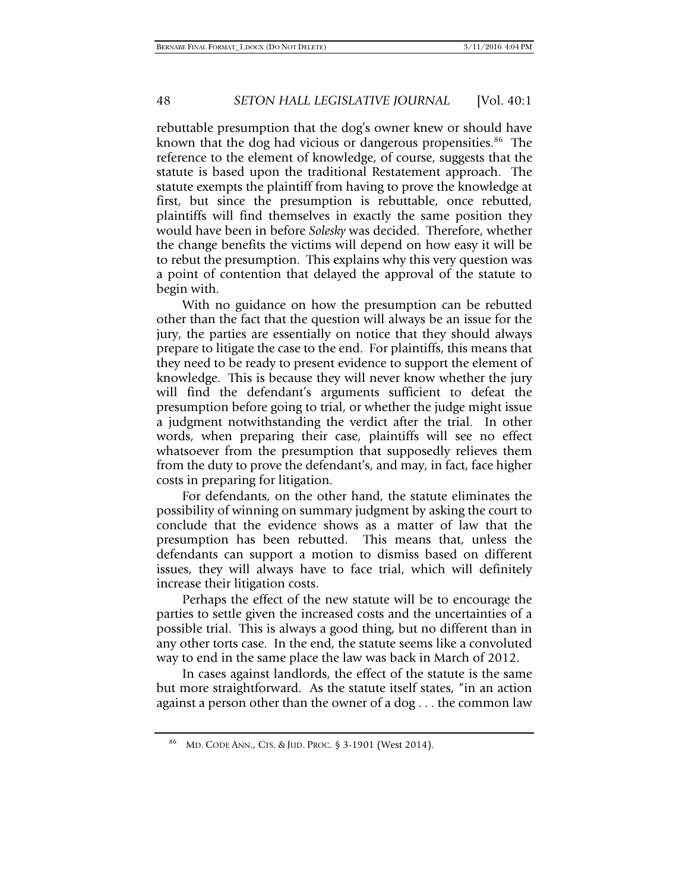rebuttable presumption that the dog's owner knew or should have known that the dog had vicious or dangerous propensities.<sup>86</sup> The reference to the element of knowledge, of course, suggests that the statute is based upon the traditional Restatement approach. The statute exempts the plaintiff from having to prove the knowledge at first, but since the presumption is rebuttable, once rebutted, plaintiffs will find themselves in exactly the same position they would have been in before *Solesky* was decided. Therefore, whether the change benefits the victims will depend on how easy it will be to rebut the presumption. This explains why this very question was a point of contention that delayed the approval of the statute to begin with.

With no guidance on how the presumption can be rebutted other than the fact that the question will always be an issue for the jury, the parties are essentially on notice that they should always prepare to litigate the case to the end. For plaintiffs, this means that they need to be ready to present evidence to support the element of knowledge. This is because they will never know whether the jury will find the defendant's arguments sufficient to defeat the presumption before going to trial, or whether the judge might issue a judgment notwithstanding the verdict after the trial. In other words, when preparing their case, plaintiffs will see no effect whatsoever from the presumption that supposedly relieves them from the duty to prove the defendant's, and may, in fact, face higher costs in preparing for litigation.

For defendants, on the other hand, the statute eliminates the possibility of winning on summary judgment by asking the court to conclude that the evidence shows as a matter of law that the presumption has been rebutted. This means that, unless the defendants can support a motion to dismiss based on different issues, they will always have to face trial, which will definitely increase their litigation costs.

Perhaps the effect of the new statute will be to encourage the parties to settle given the increased costs and the uncertainties of a possible trial. This is always a good thing, but no different than in any other torts case. In the end, the statute seems like a convoluted way to end in the same place the law was back in March of 2012.

In cases against landlords, the effect of the statute is the same but more straightforward. As the statute itself states, "in an action against a person other than the owner of a dog . . . the common law

<sup>86</sup> MD. CODE ANN., CTS. & JUD. PROC. § 3-1901 (West 2014).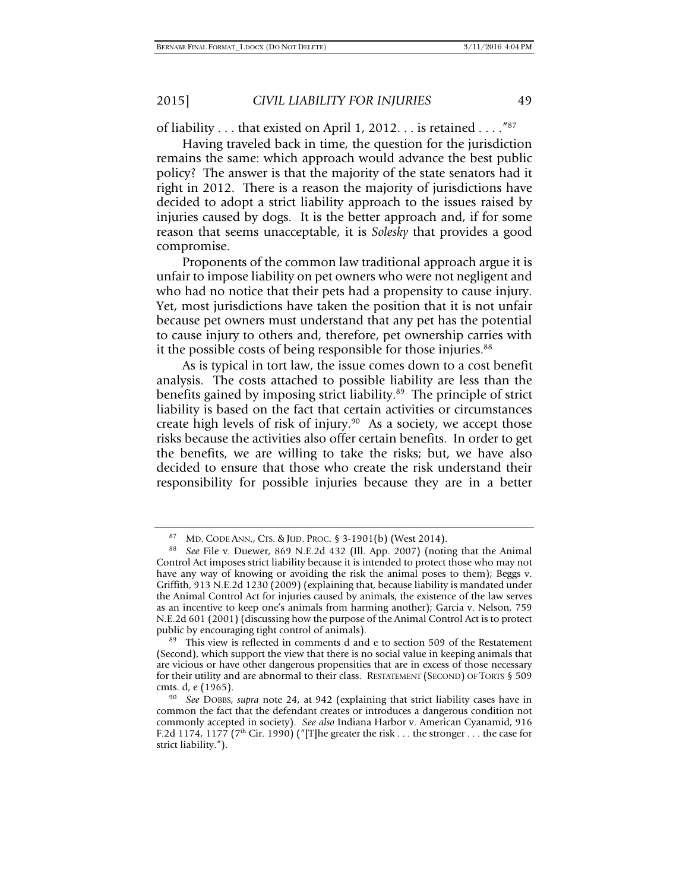of liability . . . that existed on April 1, 2012. . . is retained . . . ."87

Having traveled back in time, the question for the jurisdiction remains the same: which approach would advance the best public policy? The answer is that the majority of the state senators had it right in 2012. There is a reason the majority of jurisdictions have decided to adopt a strict liability approach to the issues raised by injuries caused by dogs. It is the better approach and, if for some reason that seems unacceptable, it is *Solesky* that provides a good compromise.

Proponents of the common law traditional approach argue it is unfair to impose liability on pet owners who were not negligent and who had no notice that their pets had a propensity to cause injury. Yet, most jurisdictions have taken the position that it is not unfair because pet owners must understand that any pet has the potential to cause injury to others and, therefore, pet ownership carries with it the possible costs of being responsible for those injuries.<sup>88</sup>

As is typical in tort law, the issue comes down to a cost benefit analysis. The costs attached to possible liability are less than the benefits gained by imposing strict liability.<sup>89</sup> The principle of strict liability is based on the fact that certain activities or circumstances create high levels of risk of injury.<sup>90</sup> As a society, we accept those risks because the activities also offer certain benefits. In order to get the benefits, we are willing to take the risks; but, we have also decided to ensure that those who create the risk understand their responsibility for possible injuries because they are in a better

<sup>87</sup> MD. CODE ANN., CTS. & JUD. PROC. § 3-1901(b) (West 2014). 88 *See* File v. Duewer, 869 N.E.2d 432 (Ill. App. 2007) (noting that the Animal Control Act imposes strict liability because it is intended to protect those who may not have any way of knowing or avoiding the risk the animal poses to them); Beggs v. Griffith, 913 N.E.2d 1230 (2009) (explaining that, because liability is mandated under the Animal Control Act for injuries caused by animals, the existence of the law serves as an incentive to keep one's animals from harming another); Garcia v. Nelson, 759 N.E.2d 601 (2001) (discussing how the purpose of the Animal Control Act is to protect

<sup>&</sup>lt;sup>89</sup> This view is reflected in comments d and e to section 509 of the Restatement (Second), which support the view that there is no social value in keeping animals that are vicious or have other dangerous propensities that are in excess of those necessary for their utility and are abnormal to their class. RESTATEMENT (SECOND) OF TORTS § 509 cmts. d, e (1965). 90 *See* DOBBS, *supra* note 24, at 942 (explaining that strict liability cases have in

common the fact that the defendant creates or introduces a dangerous condition not commonly accepted in society). *See also* Indiana Harbor v. American Cyanamid, 916 F.2d 1174, 1177 ( $7<sup>th</sup>$  Cir. 1990) ("[T]he greater the risk . . . the stronger . . . the case for strict liability.").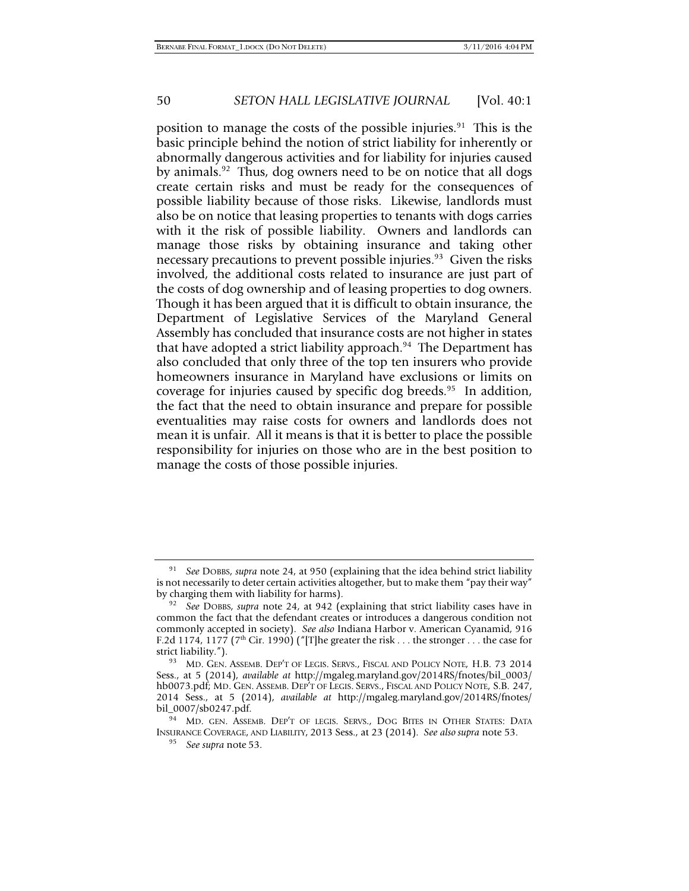position to manage the costs of the possible injuries.<sup>91</sup> This is the basic principle behind the notion of strict liability for inherently or abnormally dangerous activities and for liability for injuries caused by animals.<sup>92</sup> Thus, dog owners need to be on notice that all dogs create certain risks and must be ready for the consequences of possible liability because of those risks. Likewise, landlords must also be on notice that leasing properties to tenants with dogs carries with it the risk of possible liability. Owners and landlords can manage those risks by obtaining insurance and taking other necessary precautions to prevent possible injuries.<sup>93</sup> Given the risks involved, the additional costs related to insurance are just part of the costs of dog ownership and of leasing properties to dog owners. Though it has been argued that it is difficult to obtain insurance, the Department of Legislative Services of the Maryland General Assembly has concluded that insurance costs are not higher in states that have adopted a strict liability approach.<sup>94</sup> The Department has also concluded that only three of the top ten insurers who provide homeowners insurance in Maryland have exclusions or limits on coverage for injuries caused by specific dog breeds.<sup>95</sup> In addition, the fact that the need to obtain insurance and prepare for possible eventualities may raise costs for owners and landlords does not mean it is unfair. All it means is that it is better to place the possible responsibility for injuries on those who are in the best position to manage the costs of those possible injuries.

<sup>91</sup> *See* DOBBS, *supra* note 24, at 950 (explaining that the idea behind strict liability is not necessarily to deter certain activities altogether, but to make them "pay their way" by charging them with liability for harms).

<sup>&</sup>lt;sup>92</sup> See DOBBS, *supra* note 24, at 942 (explaining that strict liability cases have in common the fact that the defendant creates or introduces a dangerous condition not commonly accepted in society). *See also* Indiana Harbor v. American Cyanamid, 916 F.2d 1174, 1177 (7<sup>th</sup> Cir. 1990) ("[T]he greater the risk . . . the stronger . . . the case for strict liability.").

<sup>93</sup> MD. GEN. ASSEMB. DEP'T OF LEGIS. SERVS., FISCAL AND POLICY NOTE, H.B. 73 2014 Sess., at 5 (2014), *available at* http://mgaleg.maryland.gov/2014RS/fnotes/bil\_0003/ hb0073.pdf; MD. GEN. ASSEMB. DEP'T OF LEGIS. SERVS., FISCAL AND POLICY NOTE, S.B. 247, 2014 Sess., at 5 (2014), *available at* http://mgaleg.maryland.gov/2014RS/fnotes/ bil\_0007/sb0247.pdf.<br><sup>94</sup> MD. GEN. ASSEMB. DEP'T OF LEGIS. SERVS., DOG BITES IN OTHER STATES: DATA

INSURANCE COVERAGE, AND LIABILITY, 2013 Sess., at 23 (2014). *See also supra* note 53. 95 *See supra* note 53.